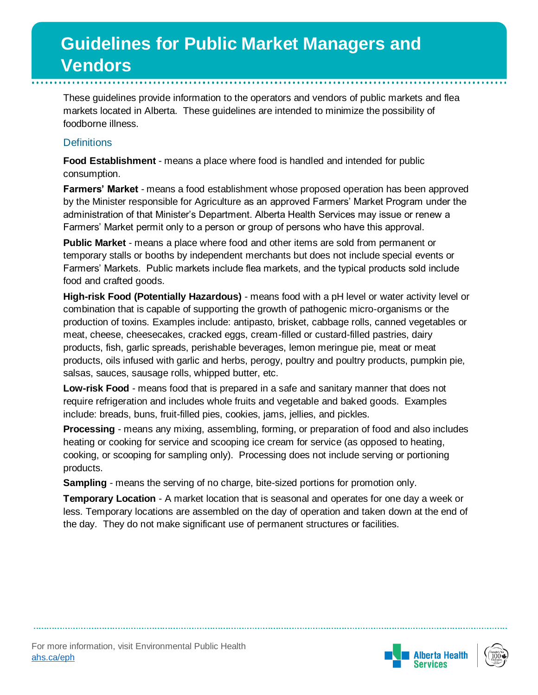These guidelines provide information to the operators and vendors of public markets and flea markets located in Alberta. These guidelines are intended to minimize the possibility of foodborne illness.

### **Definitions**

**Food Establishment** - means a place where food is handled and intended for public consumption.

**Farmers' Market** - means a food establishment whose proposed operation has been approved by the Minister responsible for Agriculture as an approved Farmers' Market Program under the administration of that Minister's Department. Alberta Health Services may issue or renew a Farmers' Market permit only to a person or group of persons who have this approval.

**Public Market** - means a place where food and other items are sold from permanent or temporary stalls or booths by independent merchants but does not include special events or Farmers' Markets. Public markets include flea markets, and the typical products sold include food and crafted goods.

**High-risk Food (Potentially Hazardous)** - means food with a pH level or water activity level or combination that is capable of supporting the growth of pathogenic micro-organisms or the production of toxins. Examples include: antipasto, brisket, cabbage rolls, canned vegetables or meat, cheese, cheesecakes, cracked eggs, cream-filled or custard-filled pastries, dairy products, fish, garlic spreads, perishable beverages, lemon meringue pie, meat or meat products, oils infused with garlic and herbs, perogy, poultry and poultry products, pumpkin pie, salsas, sauces, sausage rolls, whipped butter, etc.

**Low-risk Food** - means food that is prepared in a safe and sanitary manner that does not require refrigeration and includes whole fruits and vegetable and baked goods. Examples include: breads, buns, fruit-filled pies, cookies, jams, jellies, and pickles.

**Processing** - means any mixing, assembling, forming, or preparation of food and also includes heating or cooking for service and scooping ice cream for service (as opposed to heating, cooking, or scooping for sampling only). Processing does not include serving or portioning products.

**Sampling** - means the serving of no charge, bite-sized portions for promotion only.

**Temporary Location** - A market location that is seasonal and operates for one day a week or less. Temporary locations are assembled on the day of operation and taken down at the end of the day. They do not make significant use of permanent structures or facilities.



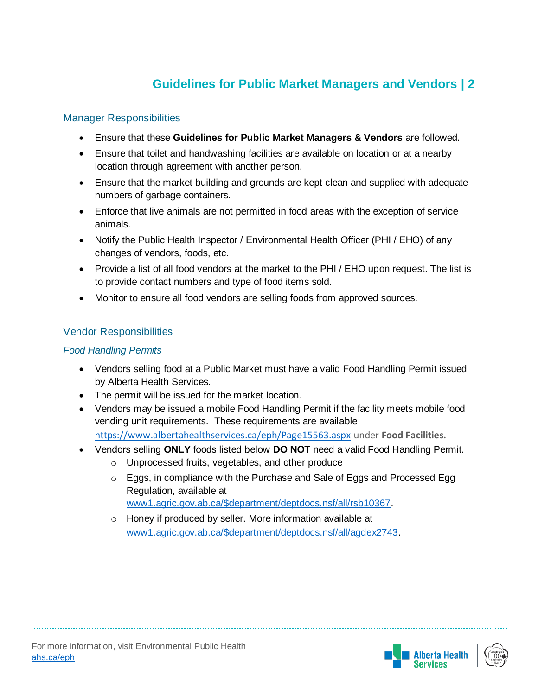#### Manager Responsibilities

- Ensure that these **Guidelines for Public Market Managers & Vendors** are followed.
- Ensure that toilet and handwashing facilities are available on location or at a nearby location through agreement with another person.
- Ensure that the market building and grounds are kept clean and supplied with adequate numbers of garbage containers.
- Enforce that live animals are not permitted in food areas with the exception of service animals.
- Notify the Public Health Inspector / Environmental Health Officer (PHI / EHO) of any changes of vendors, foods, etc.
- Provide a list of all food vendors at the market to the PHI / EHO upon request. The list is to provide contact numbers and type of food items sold.
- Monitor to ensure all food vendors are selling foods from approved sources.

### Vendor Responsibilities

#### *Food Handling Permits*

- Vendors selling food at a Public Market must have a valid Food Handling Permit issued by Alberta Health Services.
- The permit will be issued for the market location.
- Vendors may be issued a mobile Food Handling Permit if the facility meets mobile food vending unit requirements. These requirements are available <https://www.albertahealthservices.ca/eph/Page15563.aspx> under **Food Facilities.**
- Vendors selling **ONLY** foods listed below **DO NOT** need a valid Food Handling Permit.
	- o Unprocessed fruits, vegetables, and other produce
	- o Eggs, in compliance with the Purchase and Sale of Eggs and Processed Egg Regulation, available at [www1.agric.gov.ab.ca/\\$department/deptdocs.nsf/all/rsb10367.](file:///C:/Users/lyoung05/Desktop/www1.agric.gov.ab.ca/$department/deptdocs.nsf/all/rsb10367)
	- o Honey if produced by seller. More information available at [www1.agric.gov.ab.ca/\\$department/deptdocs.nsf/all/agdex2743](file:///C:/Users/lyoung05/Desktop/www1.agric.gov.ab.ca/$department/deptdocs.nsf/all/agdex2743).

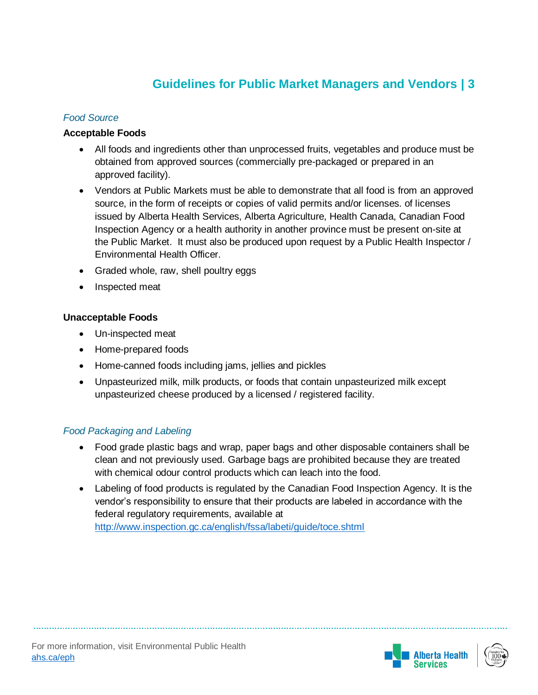#### *Food Source*

#### **Acceptable Foods**

- All foods and ingredients other than unprocessed fruits, vegetables and produce must be obtained from approved sources (commercially pre-packaged or prepared in an approved facility).
- Vendors at Public Markets must be able to demonstrate that all food is from an approved source, in the form of receipts or copies of valid permits and/or licenses. of licenses issued by Alberta Health Services, Alberta Agriculture, Health Canada, Canadian Food Inspection Agency or a health authority in another province must be present on-site at the Public Market. It must also be produced upon request by a Public Health Inspector / Environmental Health Officer.
- Graded whole, raw, shell poultry eggs
- Inspected meat

#### **Unacceptable Foods**

- Un-inspected meat
- Home-prepared foods
- Home-canned foods including jams, jellies and pickles
- Unpasteurized milk, milk products, or foods that contain unpasteurized milk except unpasteurized cheese produced by a licensed / registered facility.

#### *Food Packaging and Labeling*

- Food grade plastic bags and wrap, paper bags and other disposable containers shall be clean and not previously used. Garbage bags are prohibited because they are treated with chemical odour control products which can leach into the food.
- Labeling of food products is regulated by the Canadian Food Inspection Agency. It is the vendor's responsibility to ensure that their products are labeled in accordance with the federal regulatory requirements, available at <http://www.inspection.gc.ca/english/fssa/labeti/guide/toce.shtml>



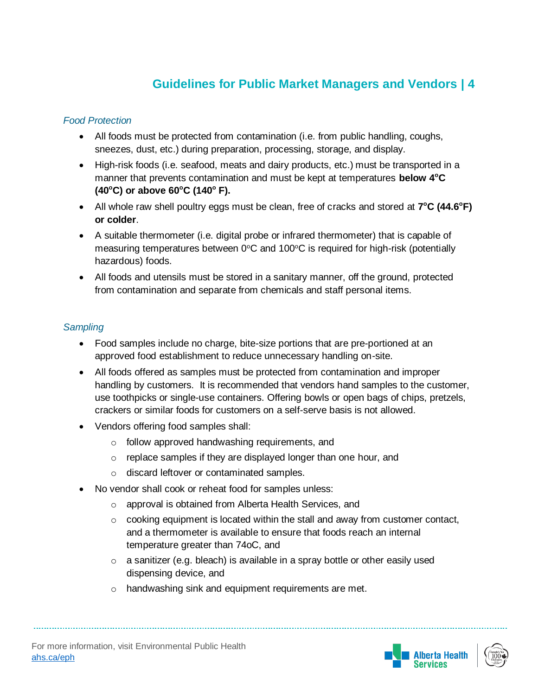#### *Food Protection*

- All foods must be protected from contamination (i.e. from public handling, coughs, sneezes, dust, etc.) during preparation, processing, storage, and display.
- High-risk foods (i.e. seafood, meats and dairy products, etc.) must be transported in a manner that prevents contamination and must be kept at temperatures **below 4<sup>o</sup>C (40<sup>o</sup>C) or above 60<sup>o</sup>C (140<sup>o</sup> F).**
- All whole raw shell poultry eggs must be clean, free of cracks and stored at  $7^{\circ}C$  (44.6°F) **or colder**.
- A suitable thermometer (i.e. digital probe or infrared thermometer) that is capable of measuring temperatures between  $0^{\circ}$ C and 100 $^{\circ}$ C is required for high-risk (potentially hazardous) foods.
- All foods and utensils must be stored in a sanitary manner, off the ground, protected from contamination and separate from chemicals and staff personal items.

#### *Sampling*

- Food samples include no charge, bite-size portions that are pre-portioned at an approved food establishment to reduce unnecessary handling on-site.
- All foods offered as samples must be protected from contamination and improper handling by customers. It is recommended that vendors hand samples to the customer, use toothpicks or single-use containers. Offering bowls or open bags of chips, pretzels, crackers or similar foods for customers on a self-serve basis is not allowed.
- Vendors offering food samples shall:
	- o follow approved handwashing requirements, and
	- o replace samples if they are displayed longer than one hour, and
	- o discard leftover or contaminated samples.
- No vendor shall cook or reheat food for samples unless:
	- o approval is obtained from Alberta Health Services, and
	- o cooking equipment is located within the stall and away from customer contact, and a thermometer is available to ensure that foods reach an internal temperature greater than 74oC, and
	- $\circ$  a sanitizer (e.g. bleach) is available in a spray bottle or other easily used dispensing device, and
	- o handwashing sink and equipment requirements are met.

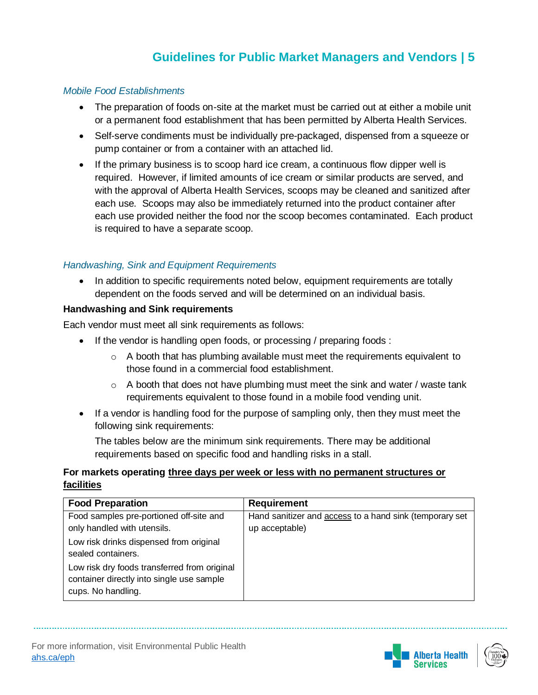#### *Mobile Food Establishments*

- The preparation of foods on-site at the market must be carried out at either a mobile unit or a permanent food establishment that has been permitted by Alberta Health Services.
- Self-serve condiments must be individually pre-packaged, dispensed from a squeeze or pump container or from a container with an attached lid.
- If the primary business is to scoop hard ice cream, a continuous flow dipper well is required. However, if limited amounts of ice cream or similar products are served, and with the approval of Alberta Health Services, scoops may be cleaned and sanitized after each use. Scoops may also be immediately returned into the product container after each use provided neither the food nor the scoop becomes contaminated. Each product is required to have a separate scoop.

#### *Handwashing, Sink and Equipment Requirements*

• In addition to specific requirements noted below, equipment requirements are totally dependent on the foods served and will be determined on an individual basis.

#### **Handwashing and Sink requirements**

Each vendor must meet all sink requirements as follows:

- If the vendor is handling open foods, or processing / preparing foods :
	- $\circ$  A booth that has plumbing available must meet the requirements equivalent to those found in a commercial food establishment.
	- $\circ$  A booth that does not have plumbing must meet the sink and water / waste tank requirements equivalent to those found in a mobile food vending unit.
- If a vendor is handling food for the purpose of sampling only, then they must meet the following sink requirements:

The tables below are the minimum sink requirements. There may be additional requirements based on specific food and handling risks in a stall.

#### **For markets operating three days per week or less with no permanent structures or facilities**

| <b>Food Preparation</b>                                                                                         | <b>Requirement</b>                                      |
|-----------------------------------------------------------------------------------------------------------------|---------------------------------------------------------|
| Food samples pre-portioned off-site and                                                                         | Hand sanitizer and access to a hand sink (temporary set |
| only handled with utensils.                                                                                     | up acceptable)                                          |
| Low risk drinks dispensed from original                                                                         |                                                         |
| sealed containers.                                                                                              |                                                         |
| Low risk dry foods transferred from original<br>container directly into single use sample<br>cups. No handling. |                                                         |





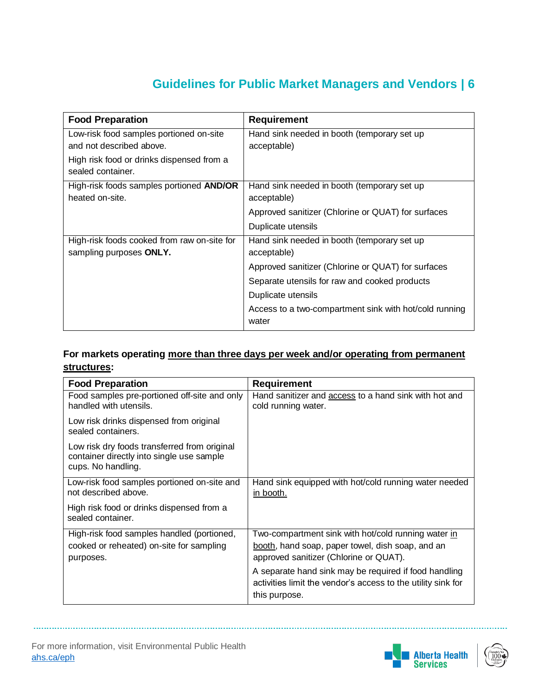| <b>Food Preparation</b>                                                | <b>Requirement</b>                                              |
|------------------------------------------------------------------------|-----------------------------------------------------------------|
| Low-risk food samples portioned on-site<br>and not described above.    | Hand sink needed in booth (temporary set up<br>acceptable)      |
| High risk food or drinks dispensed from a<br>sealed container.         |                                                                 |
| High-risk foods samples portioned AND/OR<br>heated on-site.            | Hand sink needed in booth (temporary set up<br>acceptable)      |
|                                                                        | Approved sanitizer (Chlorine or QUAT) for surfaces              |
|                                                                        | Duplicate utensils                                              |
| High-risk foods cooked from raw on-site for<br>sampling purposes ONLY. | Hand sink needed in booth (temporary set up<br>acceptable)      |
|                                                                        | Approved sanitizer (Chlorine or QUAT) for surfaces              |
|                                                                        | Separate utensils for raw and cooked products                   |
|                                                                        | Duplicate utensils                                              |
|                                                                        | Access to a two-compartment sink with hot/cold running<br>water |

### **For markets operating more than three days per week and/or operating from permanent structures:**

| <b>Food Preparation</b>                                                                                         | <b>Requirement</b>                                                                                                                     |
|-----------------------------------------------------------------------------------------------------------------|----------------------------------------------------------------------------------------------------------------------------------------|
| Food samples pre-portioned off-site and only<br>handled with utensils.                                          | Hand sanitizer and access to a hand sink with hot and<br>cold running water.                                                           |
| Low risk drinks dispensed from original<br>sealed containers.                                                   |                                                                                                                                        |
| Low risk dry foods transferred from original<br>container directly into single use sample<br>cups. No handling. |                                                                                                                                        |
| Low-risk food samples portioned on-site and<br>not described above.                                             | Hand sink equipped with hot/cold running water needed<br>in booth.                                                                     |
| High risk food or drinks dispensed from a<br>sealed container.                                                  |                                                                                                                                        |
| High-risk food samples handled (portioned,                                                                      | Two-compartment sink with hot/cold running water in                                                                                    |
| cooked or reheated) on-site for sampling<br>purposes.                                                           | booth, hand soap, paper towel, dish soap, and an<br>approved sanitizer (Chlorine or QUAT).                                             |
|                                                                                                                 | A separate hand sink may be required if food handling<br>activities limit the vendor's access to the utility sink for<br>this purpose. |



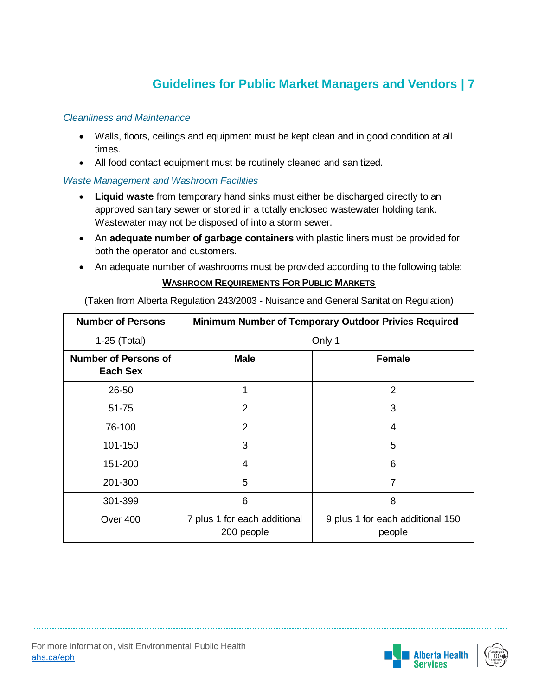#### *Cleanliness and Maintenance*

- Walls, floors, ceilings and equipment must be kept clean and in good condition at all times.
- All food contact equipment must be routinely cleaned and sanitized.

#### *Waste Management and Washroom Facilities*

- **Liquid waste** from temporary hand sinks must either be discharged directly to an approved sanitary sewer or stored in a totally enclosed wastewater holding tank. Wastewater may not be disposed of into a storm sewer.
- An **adequate number of garbage containers** with plastic liners must be provided for both the operator and customers.
- An adequate number of washrooms must be provided according to the following table:

#### **WASHROOM REQUIREMENTS FOR PUBLIC MARKETS**

(Taken from Alberta Regulation 243/2003 - Nuisance and General Sanitation Regulation)

| <b>Number of Persons</b>                       | Minimum Number of Temporary Outdoor Privies Required |                                            |
|------------------------------------------------|------------------------------------------------------|--------------------------------------------|
| 1-25 (Total)                                   | Only 1                                               |                                            |
| <b>Number of Persons of</b><br><b>Each Sex</b> | <b>Male</b>                                          | <b>Female</b>                              |
| 26-50                                          | 1                                                    | $\overline{2}$                             |
| 51-75                                          | 2                                                    | 3                                          |
| 76-100                                         | $\overline{2}$                                       | 4                                          |
| 101-150                                        | 3                                                    | 5                                          |
| 151-200                                        | 4                                                    | 6                                          |
| 201-300                                        | 5                                                    | 7                                          |
| 301-399                                        | 6                                                    | 8                                          |
| Over 400                                       | 7 plus 1 for each additional<br>200 people           | 9 plus 1 for each additional 150<br>people |